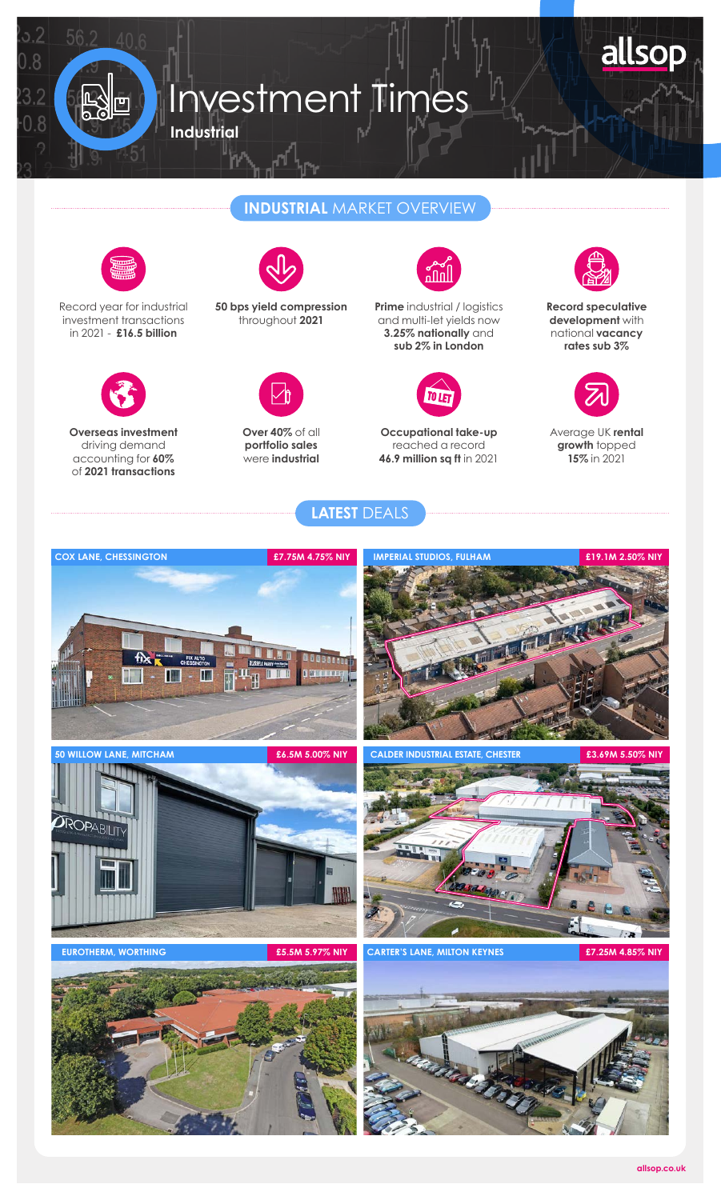

## **INDUSTRIAL** MARKET OVERVIEW

**LATEST** DEALS



 $\overline{8}$ 

2

 $.8$  $\left( \right)$ 

> Record year for industrial investment transactions in 2021 - **£16.5 billion**



**Overseas investment**  driving demand accounting for **60%** of **2021 transactions**



**50 bps yield compression** throughout **2021**



**Over 40%** of all **portfolio sales** were **industrial**



**Prime** industrial / logistics and multi-let yields now **3.25% nationally** and **sub 2% in London**



**Occupational take-up** reached a record **46.9 million sq ft** in 2021



allsop

**Record speculative development** with national **vacancy rates sub 3%**



Average UK **rental growth** topped **15%** in 2021